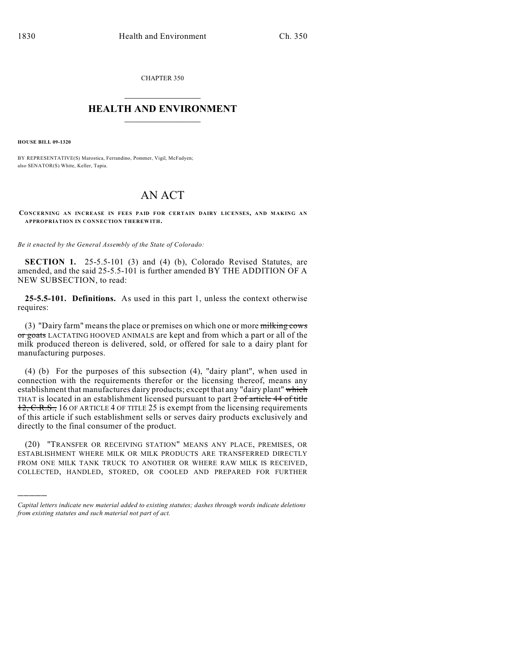CHAPTER 350  $\mathcal{L}_\text{max}$  . The set of the set of the set of the set of the set of the set of the set of the set of the set of the set of the set of the set of the set of the set of the set of the set of the set of the set of the set

## **HEALTH AND ENVIRONMENT**  $\_$

**HOUSE BILL 09-1320**

)))))

BY REPRESENTATIVE(S) Marostica, Ferrandino, Pommer, Vigil, McFadyen; also SENATOR(S) White, Keller, Tapia.

## AN ACT

**CONCERNING AN INCREASE IN FEES PAID FOR CERTAIN DAIRY LICENSES, AND MAKING AN APPROPRIATION IN CONNECTION THEREWITH.**

*Be it enacted by the General Assembly of the State of Colorado:*

**SECTION 1.** 25-5.5-101 (3) and (4) (b), Colorado Revised Statutes, are amended, and the said 25-5.5-101 is further amended BY THE ADDITION OF A NEW SUBSECTION, to read:

**25-5.5-101. Definitions.** As used in this part 1, unless the context otherwise requires:

(3) "Dairy farm" means the place or premises on which one or more milking cows or goats LACTATING HOOVED ANIMALS are kept and from which a part or all of the milk produced thereon is delivered, sold, or offered for sale to a dairy plant for manufacturing purposes.

(4) (b) For the purposes of this subsection (4), "dairy plant", when used in connection with the requirements therefor or the licensing thereof, means any establishment that manufactures dairy products; except that any "dairy plant" which THAT is located in an establishment licensed pursuant to part 2 of article 44 of title 12, C.R.S., 16 OF ARTICLE 4 OF TITLE 25 is exempt from the licensing requirements of this article if such establishment sells or serves dairy products exclusively and directly to the final consumer of the product.

(20) "TRANSFER OR RECEIVING STATION" MEANS ANY PLACE, PREMISES, OR ESTABLISHMENT WHERE MILK OR MILK PRODUCTS ARE TRANSFERRED DIRECTLY FROM ONE MILK TANK TRUCK TO ANOTHER OR WHERE RAW MILK IS RECEIVED, COLLECTED, HANDLED, STORED, OR COOLED AND PREPARED FOR FURTHER

*Capital letters indicate new material added to existing statutes; dashes through words indicate deletions from existing statutes and such material not part of act.*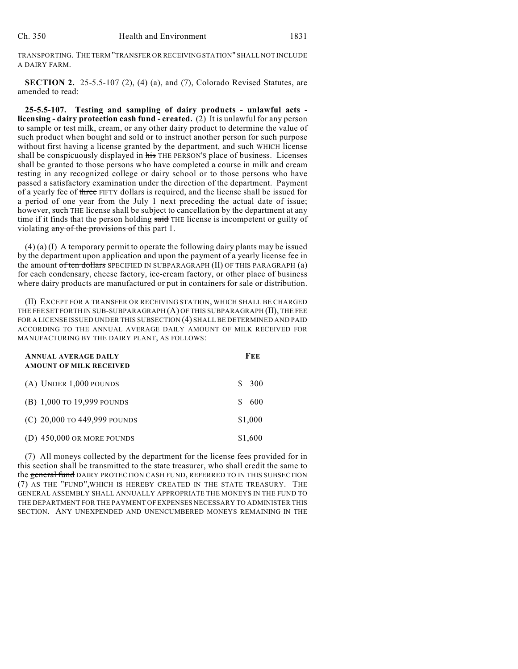TRANSPORTING. THE TERM "TRANSFER OR RECEIVING STATION" SHALL NOT INCLUDE A DAIRY FARM.

**SECTION 2.** 25-5.5-107 (2), (4) (a), and (7), Colorado Revised Statutes, are amended to read:

**25-5.5-107. Testing and sampling of dairy products - unlawful acts licensing - dairy protection cash fund - created.** (2) It is unlawful for any person to sample or test milk, cream, or any other dairy product to determine the value of such product when bought and sold or to instruct another person for such purpose without first having a license granted by the department, and such WHICH license shall be conspicuously displayed in his THE PERSON'S place of business. Licenses shall be granted to those persons who have completed a course in milk and cream testing in any recognized college or dairy school or to those persons who have passed a satisfactory examination under the direction of the department. Payment of a yearly fee of three FIFTY dollars is required, and the license shall be issued for a period of one year from the July 1 next preceding the actual date of issue; however, such THE license shall be subject to cancellation by the department at any time if it finds that the person holding said THE license is incompetent or guilty of violating any of the provisions of this part 1.

(4) (a) (I) A temporary permit to operate the following dairy plants may be issued by the department upon application and upon the payment of a yearly license fee in the amount of ten dollars SPECIFIED IN SUBPARAGRAPH (II) OF THIS PARAGRAPH (a) for each condensary, cheese factory, ice-cream factory, or other place of business where dairy products are manufactured or put in containers for sale or distribution.

(II) EXCEPT FOR A TRANSFER OR RECEIVING STATION, WHICH SHALL BE CHARGED THE FEE SET FORTH IN SUB-SUBPARAGRAPH (A) OF THIS SUBPARAGRAPH (II), THE FEE FOR A LICENSE ISSUED UNDER THIS SUBSECTION (4) SHALL BE DETERMINED AND PAID ACCORDING TO THE ANNUAL AVERAGE DAILY AMOUNT OF MILK RECEIVED FOR MANUFACTURING BY THE DAIRY PLANT, AS FOLLOWS:

| <b>ANNUAL AVERAGE DAILY</b><br><b>AMOUNT OF MILK RECEIVED</b> | FEE       |
|---------------------------------------------------------------|-----------|
| $(A)$ UNDER 1,000 POUNDS                                      | 300<br>S. |
| (B) $1,000$ to 19,999 pounds                                  | 600<br>S  |
| (C) $20,000$ to 449,999 pounds                                | \$1,000   |
| (D) $450,000$ OR MORE POUNDS                                  | \$1,600   |

(7) All moneys collected by the department for the license fees provided for in this section shall be transmitted to the state treasurer, who shall credit the same to the general fund DAIRY PROTECTION CASH FUND, REFERRED TO IN THIS SUBSECTION (7) AS THE "FUND",WHICH IS HEREBY CREATED IN THE STATE TREASURY. THE GENERAL ASSEMBLY SHALL ANNUALLY APPROPRIATE THE MONEYS IN THE FUND TO THE DEPARTMENT FOR THE PAYMENT OF EXPENSES NECESSARY TO ADMINISTER THIS SECTION. ANY UNEXPENDED AND UNENCUMBERED MONEYS REMAINING IN THE